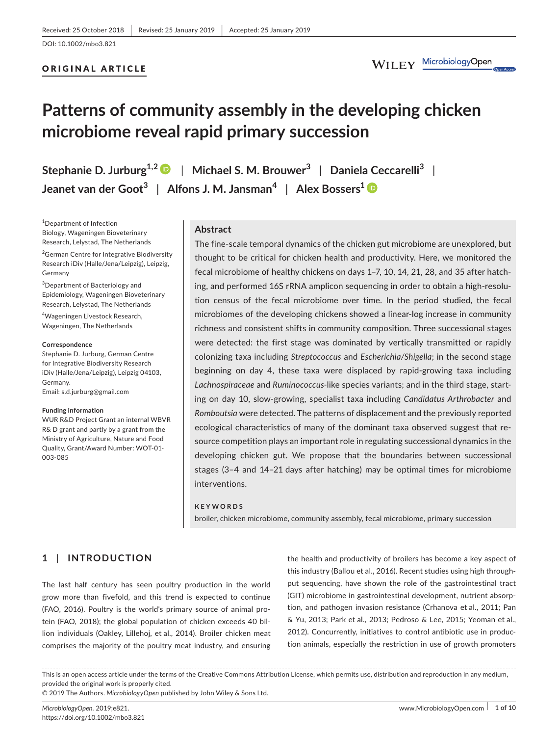## ORIGINAL ARTICLE

# **Patterns of community assembly in the developing chicken microbiome reveal rapid primary succession**

**Stephanie D. Jurburg1,[2](https://orcid.org/0000-0002-7701-6030)** | **Michael S. M. Brouwer<sup>3</sup>** | **Daniela Ceccarelli<sup>3</sup>** | **Jeanet van der Goot<sup>3</sup>** | **Alfons J. M. Jansman<sup>4</sup>** | **Alex Bossers[1](https://orcid.org/0000-0002-6586-717X)**

1 Department of Infection Biology, Wageningen Bioveterinary Research, Lelystad, The Netherlands

<sup>2</sup>German Centre for Integrative Biodiversity Research iDiv (Halle/Jena/Leipzig), Leipzig, Germany

<sup>3</sup>Department of Bacteriology and Epidemiology, Wageningen Bioveterinary Research, Lelystad, The Netherlands

4 Wageningen Livestock Research, Wageningen, The Netherlands

#### **Correspondence**

Stephanie D. Jurburg, German Centre for Integrative Biodiversity Research iDiv (Halle/Jena/Leipzig), Leipzig 04103, Germany. Email: [s.d.jurburg@gmail.com](mailto:s.d.jurburg@gmail.com)

#### **Funding information**

WUR R&D Project Grant an internal WBVR R& D grant and partly by a grant from the Ministry of Agriculture, Nature and Food Quality, Grant/Award Number: WOT-01- 003-085

## **Abstract**

The fine-scale temporal dynamics of the chicken gut microbiome are unexplored, but thought to be critical for chicken health and productivity. Here, we monitored the fecal microbiome of healthy chickens on days 1–7, 10, 14, 21, 28, and 35 after hatching, and performed 16S rRNA amplicon sequencing in order to obtain a high-resolution census of the fecal microbiome over time. In the period studied, the fecal microbiomes of the developing chickens showed a linear-log increase in community richness and consistent shifts in community composition. Three successional stages were detected: the first stage was dominated by vertically transmitted or rapidly colonizing taxa including *Streptococcus* and *Escherichia/Shigella*; in the second stage beginning on day 4, these taxa were displaced by rapid-growing taxa including *Lachnospiraceae* and *Ruminococcus‐*like species variants; and in the third stage, starting on day 10, slow-growing, specialist taxa including *Candidatus Arthrobacter* and *Romboutsia* were detected. The patterns of displacement and the previously reported ecological characteristics of many of the dominant taxa observed suggest that resource competition plays an important role in regulating successional dynamics in the developing chicken gut. We propose that the boundaries between successional stages (3–4 and 14–21 days after hatching) may be optimal times for microbiome interventions.

### **KEYWORDS**

broiler, chicken microbiome, community assembly, fecal microbiome, primary succession

# **1** | **INTRODUCTION**

The last half century has seen poultry production in the world grow more than fivefold, and this trend is expected to continue (FAO, 2016). Poultry is the world's primary source of animal protein (FAO, 2018); the global population of chicken exceeds 40 billion individuals (Oakley, Lillehoj, et al., 2014). Broiler chicken meat comprises the majority of the poultry meat industry, and ensuring

the health and productivity of broilers has become a key aspect of this industry (Ballou et al., 2016). Recent studies using high throughput sequencing, have shown the role of the gastrointestinal tract (GIT) microbiome in gastrointestinal development, nutrient absorption, and pathogen invasion resistance (Crhanova et al., 2011; Pan & Yu, 2013; Park et al., 2013; Pedroso & Lee, 2015; Yeoman et al., 2012). Concurrently, initiatives to control antibiotic use in production animals, especially the restriction in use of growth promoters

This is an open access article under the terms of the [Creative Commons Attribution](http://creativecommons.org/licenses/by/4.0/) License, which permits use, distribution and reproduction in any medium, provided the original work is properly cited.

© 2019 The Authors. *MicrobiologyOpen* published by John Wiley & Sons Ltd.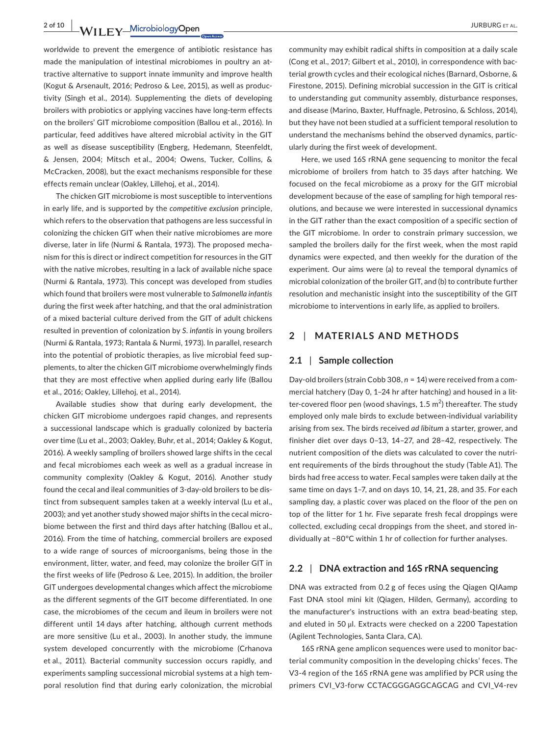2 of 10 **WII FY** MicrobiologyOpen 2001 2002 2003 2009 30 BBURG ET AL.

worldwide to prevent the emergence of antibiotic resistance has made the manipulation of intestinal microbiomes in poultry an attractive alternative to support innate immunity and improve health (Kogut & Arsenault, 2016; Pedroso & Lee, 2015), as well as productivity (Singh et al., 2014). Supplementing the diets of developing broilers with probiotics or applying vaccines have long-term effects on the broilers' GIT microbiome composition (Ballou et al., 2016). In particular, feed additives have altered microbial activity in the GIT as well as disease susceptibility (Engberg, Hedemann, Steenfeldt, & Jensen, 2004; Mitsch et al., 2004; Owens, Tucker, Collins, & McCracken, 2008), but the exact mechanisms responsible for these effects remain unclear (Oakley, Lillehoj, et al., 2014).

The chicken GIT microbiome is most susceptible to interventions in early life, and is supported by the *competitive exclusion* principle, which refers to the observation that pathogens are less successful in colonizing the chicken GIT when their native microbiomes are more diverse, later in life (Nurmi & Rantala, 1973). The proposed mechanism for this is direct or indirect competition for resources in the GIT with the native microbes, resulting in a lack of available niche space (Nurmi & Rantala, 1973). This concept was developed from studies which found that broilers were most vulnerable to *Salmonella infantis* during the first week after hatching, and that the oral administration of a mixed bacterial culture derived from the GIT of adult chickens resulted in prevention of colonization by *S. infantis* in young broilers (Nurmi & Rantala, 1973; Rantala & Nurmi, 1973). In parallel, research into the potential of probiotic therapies, as live microbial feed supplements, to alter the chicken GIT microbiome overwhelmingly finds that they are most effective when applied during early life (Ballou et al., 2016; Oakley, Lillehoj, et al., 2014).

Available studies show that during early development, the chicken GIT microbiome undergoes rapid changes, and represents a successional landscape which is gradually colonized by bacteria over time (Lu et al., 2003; Oakley, Buhr, et al., 2014; Oakley & Kogut, 2016). A weekly sampling of broilers showed large shifts in the cecal and fecal microbiomes each week as well as a gradual increase in community complexity (Oakley & Kogut, 2016). Another study found the cecal and ileal communities of 3-day-old broilers to be distinct from subsequent samples taken at a weekly interval (Lu et al., 2003); and yet another study showed major shifts in the cecal microbiome between the first and third days after hatching (Ballou et al., 2016). From the time of hatching, commercial broilers are exposed to a wide range of sources of microorganisms, being those in the environment, litter, water, and feed, may colonize the broiler GIT in the first weeks of life (Pedroso & Lee, 2015). In addition, the broiler GIT undergoes developmental changes which affect the microbiome as the different segments of the GIT become differentiated. In one case, the microbiomes of the cecum and ileum in broilers were not different until 14 days after hatching, although current methods are more sensitive (Lu et al., 2003). In another study, the immune system developed concurrently with the microbiome (Crhanova et al., 2011). Bacterial community succession occurs rapidly, and experiments sampling successional microbial systems at a high temporal resolution find that during early colonization, the microbial

community may exhibit radical shifts in composition at a daily scale (Cong et al., 2017; Gilbert et al., 2010), in correspondence with bacterial growth cycles and their ecological niches (Barnard, Osborne, & Firestone, 2015). Defining microbial succession in the GIT is critical to understanding gut community assembly, disturbance responses, and disease (Marino, Baxter, Huffnagle, Petrosino, & Schloss, 2014), but they have not been studied at a sufficient temporal resolution to understand the mechanisms behind the observed dynamics, particularly during the first week of development.

Here, we used 16S rRNA gene sequencing to monitor the fecal microbiome of broilers from hatch to 35 days after hatching. We focused on the fecal microbiome as a proxy for the GIT microbial development because of the ease of sampling for high temporal resolutions, and because we were interested in successional dynamics in the GIT rather than the exact composition of a specific section of the GIT microbiome. In order to constrain primary succession, we sampled the broilers daily for the first week, when the most rapid dynamics were expected, and then weekly for the duration of the experiment. Our aims were (a) to reveal the temporal dynamics of microbial colonization of the broiler GIT, and (b) to contribute further resolution and mechanistic insight into the susceptibility of the GIT microbiome to interventions in early life, as applied to broilers.

## **2** | **MATERIALS AND METHODS**

## **2.1** | **Sample collection**

Day-old broilers (strain Cobb 308, *n* = 14) were received from a commercial hatchery (Day 0, 1–24 hr after hatching) and housed in a litter-covered floor pen (wood shavings, 1.5  $m<sup>2</sup>$ ) thereafter. The study employed only male birds to exclude between-individual variability arising from sex. The birds received *ad libitum* a starter, grower, and finisher diet over days 0–13, 14–27, and 28–42, respectively. The nutrient composition of the diets was calculated to cover the nutrient requirements of the birds throughout the study (Table A1). The birds had free access to water. Fecal samples were taken daily at the same time on days 1–7, and on days 10, 14, 21, 28, and 35. For each sampling day, a plastic cover was placed on the floor of the pen on top of the litter for 1 hr. Five separate fresh fecal droppings were collected, excluding cecal droppings from the sheet, and stored individually at −80°C within 1 hr of collection for further analyses.

### **2.2** | **DNA extraction and 16S rRNA sequencing**

DNA was extracted from 0.2 g of feces using the Qiagen QIAamp Fast DNA stool mini kit (Qiagen, Hilden, Germany), according to the manufacturer's instructions with an extra bead-beating step, and eluted in 50 μl. Extracts were checked on a 2200 Tapestation (Agilent Technologies, Santa Clara, CA).

16S rRNA gene amplicon sequences were used to monitor bacterial community composition in the developing chicks' feces. The V3‐4 region of the 16S rRNA gene was amplified by PCR using the primers CVI\_V3‐forw CCTACGGGAGGCAGCAG and CVI\_V4‐rev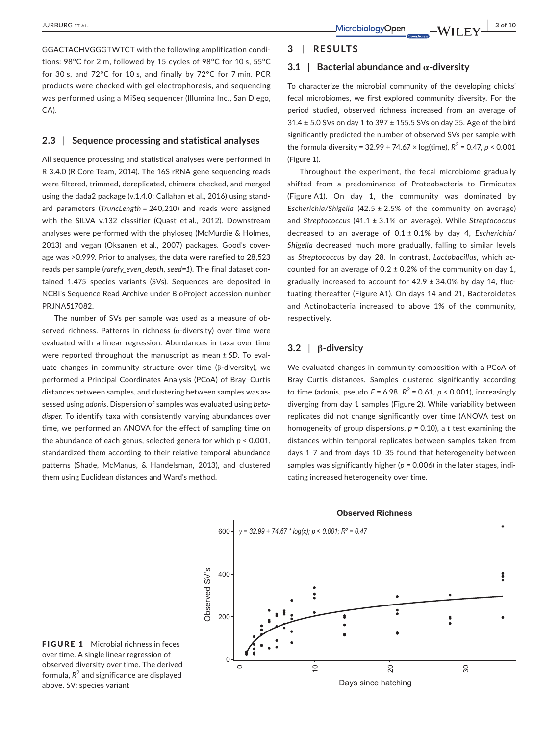GGACTACHVGGGTWTCT with the following amplification conditions: 98°C for 2 m, followed by 15 cycles of 98°C for 10 s, 55°C for 30 s, and 72°C for 10 s, and finally by 72°C for 7 min. PCR products were checked with gel electrophoresis, and sequencing was performed using a MiSeq sequencer (Illumina Inc., San Diego, CA).

## **2.3** | **Sequence processing and statistical analyses**

All sequence processing and statistical analyses were performed in R 3.4.0 (R Core Team, 2014). The 16S rRNA gene sequencing reads were filtered, trimmed, dereplicated, chimera-checked, and merged using the dada2 package (v.1.4.0; Callahan et al., 2016) using standard parameters (*TruncLength* = 240,210) and reads were assigned with the SILVA v.132 classifier (Quast et al., 2012). Downstream analyses were performed with the phyloseq (McMurdie & Holmes, 2013) and vegan (Oksanen et al., 2007) packages. Good's coverage was >0.999. Prior to analyses, the data were rarefied to 28,523 reads per sample (*rarefy\_even\_depth, seed=1*). The final dataset contained 1,475 species variants (SVs). Sequences are deposited in NCBI's Sequence Read Archive under BioProject accession number PRJNA517082.

The number of SVs per sample was used as a measure of observed richness. Patterns in richness (α-diversity) over time were evaluated with a linear regression. Abundances in taxa over time were reported throughout the manuscript as mean ± *SD*. To evaluate changes in community structure over time (β-diversity), we performed a Principal Coordinates Analysis (PCoA) of Bray–Curtis distances between samples, and clustering between samples was assessed using *adonis*. Dispersion of samples was evaluated using *beta‐ disper*. To identify taxa with consistently varying abundances over time, we performed an ANOVA for the effect of sampling time on the abundance of each genus, selected genera for which *p* < 0.001, standardized them according to their relative temporal abundance patterns (Shade, McManus, & Handelsman, 2013), and clustered them using Euclidean distances and Ward's method.

## **3** | **RESULTS**

## **3.1 |** Bacterial abundance and  $\alpha$ -diversity

To characterize the microbial community of the developing chicks' fecal microbiomes, we first explored community diversity. For the period studied, observed richness increased from an average of 31.4 ± 5.0 SVs on day 1 to 397 ± 155.5 SVs on day 35. Age of the bird significantly predicted the number of observed SVs per sample with the formula diversity =  $32.99 + 74.67 \times \log(\text{time})$ ,  $R^2 = 0.47$ ,  $p \le 0.001$ (Figure 1).

Throughout the experiment, the fecal microbiome gradually shifted from a predominance of Proteobacteria to Firmicutes (Figure A1). On day 1, the community was dominated by *Escherichia/Shigella* (42.5 ± 2.5% of the community on average) and *Streptococcus* (41.1 ± 3.1% on average). While *Streptococcus* decreased to an average of 0.1 ± 0.1% by day 4, *Escherichia/ Shigella* decreased much more gradually, falling to similar levels as *Streptococcus* by day 28. In contrast, *Lactobacillus*, which accounted for an average of  $0.2 \pm 0.2$ % of the community on day 1, gradually increased to account for  $42.9 \pm 34.0\%$  by day 14, fluctuating thereafter (Figure A1). On days 14 and 21, Bacteroidetes and Actinobacteria increased to above 1% of the community, respectively.

## **3.2** | **β‐diversity**

We evaluated changes in community composition with a PCoA of Bray–Curtis distances. Samples clustered significantly according to time (adonis, pseudo  $F = 6.98$ ,  $R^2 = 0.61$ ,  $p < 0.001$ ), increasingly diverging from day 1 samples (Figure 2). While variability between replicates did not change significantly over time (ANOVA test on homogeneity of group dispersions, *p* = 0.10), a *t* test examining the distances within temporal replicates between samples taken from days 1–7 and from days 10–35 found that heterogeneity between samples was significantly higher (*p* = 0.006) in the later stages, indicating increased heterogeneity over time.



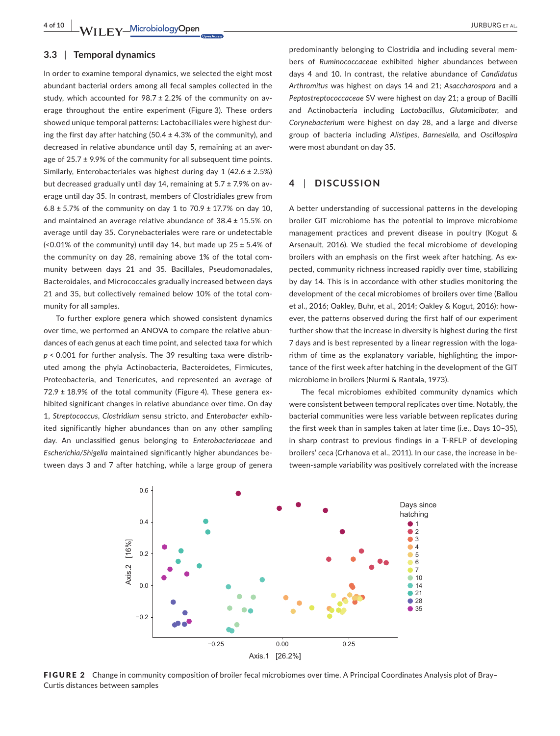#### **3.3** | **Temporal dynamics**

In order to examine temporal dynamics, we selected the eight most abundant bacterial orders among all fecal samples collected in the study, which accounted for  $98.7 \pm 2.2$ % of the community on average throughout the entire experiment (Figure 3). These orders showed unique temporal patterns: Lactobacilliales were highest during the first day after hatching  $(50.4 \pm 4.3\%)$  of the community), and decreased in relative abundance until day 5, remaining at an average of  $25.7 \pm 9.9\%$  of the community for all subsequent time points. Similarly, Enterobacteriales was highest during day 1 (42.6 ± 2.5%) but decreased gradually until day 14, remaining at  $5.7 \pm 7.9\%$  on average until day 35. In contrast, members of Clostridiales grew from 6.8  $\pm$  5.7% of the community on day 1 to 70.9  $\pm$  17.7% on day 10, and maintained an average relative abundance of 38.4 ± 15.5% on average until day 35. Corynebacteriales were rare or undetectable (<0.01% of the community) until day 14, but made up  $25 \pm 5.4\%$  of the community on day 28, remaining above 1% of the total community between days 21 and 35. Bacillales, Pseudomonadales, Bacteroidales, and Micrococcales gradually increased between days 21 and 35, but collectively remained below 10% of the total community for all samples.

To further explore genera which showed consistent dynamics over time, we performed an ANOVA to compare the relative abundances of each genus at each time point, and selected taxa for which *p* < 0.001 for further analysis. The 39 resulting taxa were distributed among the phyla Actinobacteria, Bacteroidetes, Firmicutes, Proteobacteria, and Tenericutes, and represented an average of  $72.9 \pm 18.9\%$  of the total community (Figure 4). These genera exhibited significant changes in relative abundance over time. On day 1, *Streptococcus*, *Clostridium* sensu stricto, and *Enterobacter* exhibited significantly higher abundances than on any other sampling day. An unclassified genus belonging to *Enterobacteriaceae* and *Escherichia/Shigella* maintained significantly higher abundances between days 3 and 7 after hatching, while a large group of genera

predominantly belonging to Clostridia and including several members of *Ruminococcaceae* exhibited higher abundances between days 4 and 10. In contrast, the relative abundance of *Candidatus Arthromitus* was highest on days 14 and 21; *Asaccharospora* and a *Peptostreptococcaceae* SV were highest on day 21; a group of Bacilli and Actinobacteria including *Lactobacillus*, *Glutamicibater*, and *Corynebacterium* were highest on day 28, and a large and diverse group of bacteria including *Alistipes*, *Barnesiella*, and *Oscillospira* were most abundant on day 35.

## **4** | **DISCUSSION**

A better understanding of successional patterns in the developing broiler GIT microbiome has the potential to improve microbiome management practices and prevent disease in poultry (Kogut & Arsenault, 2016). We studied the fecal microbiome of developing broilers with an emphasis on the first week after hatching. As expected, community richness increased rapidly over time, stabilizing by day 14. This is in accordance with other studies monitoring the development of the cecal microbiomes of broilers over time (Ballou et al., 2016; Oakley, Buhr, et al., 2014; Oakley & Kogut, 2016); however, the patterns observed during the first half of our experiment further show that the increase in diversity is highest during the first 7 days and is best represented by a linear regression with the logarithm of time as the explanatory variable, highlighting the importance of the first week after hatching in the development of the GIT microbiome in broilers (Nurmi & Rantala, 1973).

The fecal microbiomes exhibited community dynamics which were consistent between temporal replicates over time. Notably, the bacterial communities were less variable between replicates during the first week than in samples taken at later time (i.e., Days 10–35), in sharp contrast to previous findings in a T-RFLP of developing broilers' ceca (Crhanova et al., 2011). In our case, the increase in between-sample variability was positively correlated with the increase



FIGURE 2 Change in community composition of broiler fecal microbiomes over time. A Principal Coordinates Analysis plot of Bray-Curtis distances between samples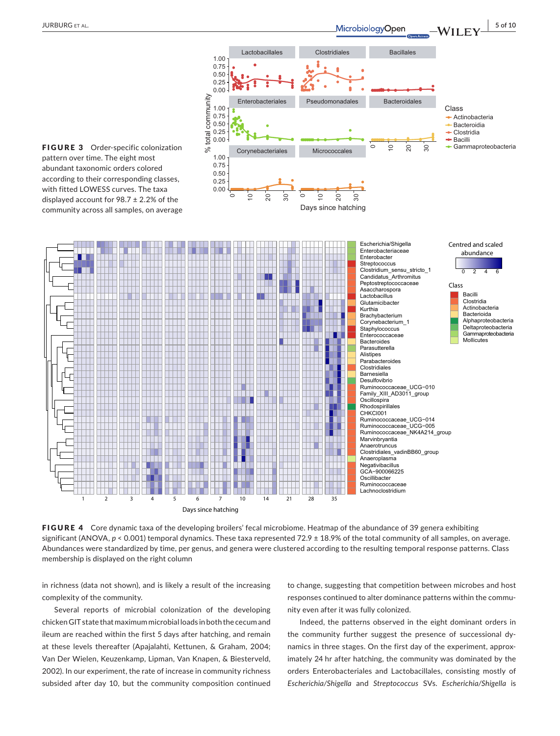

FIGURE 4 Core dynamic taxa of the developing broilers' fecal microbiome. Heatmap of the abundance of 39 genera exhibiting significant (ANOVA,  $p < 0.001$ ) temporal dynamics. These taxa represented 72.9 ± 18.9% of the total community of all samples, on average. Abundances were standardized by time, per genus, and genera were clustered according to the resulting temporal response patterns. Class membership is displayed on the right column

in richness (data not shown), and is likely a result of the increasing complexity of the community.

Several reports of microbial colonization of the developing chicken GIT state that maximum microbial loads in both the cecum and ileum are reached within the first 5 days after hatching, and remain at these levels thereafter (Apajalahti, Kettunen, & Graham, 2004; Van Der Wielen, Keuzenkamp, Lipman, Van Knapen, & Biesterveld, 2002). In our experiment, the rate of increase in community richness subsided after day 10, but the community composition continued

to change, suggesting that competition between microbes and host responses continued to alter dominance patterns within the community even after it was fully colonized.

Indeed, the patterns observed in the eight dominant orders in the community further suggest the presence of successional dynamics in three stages. On the first day of the experiment, approximately 24 hr after hatching, the community was dominated by the orders Enterobacteriales and Lactobacillales, consisting mostly of *Escherichia/Shigella* and *Streptococcus* SVs. *Escherichia/Shigella* is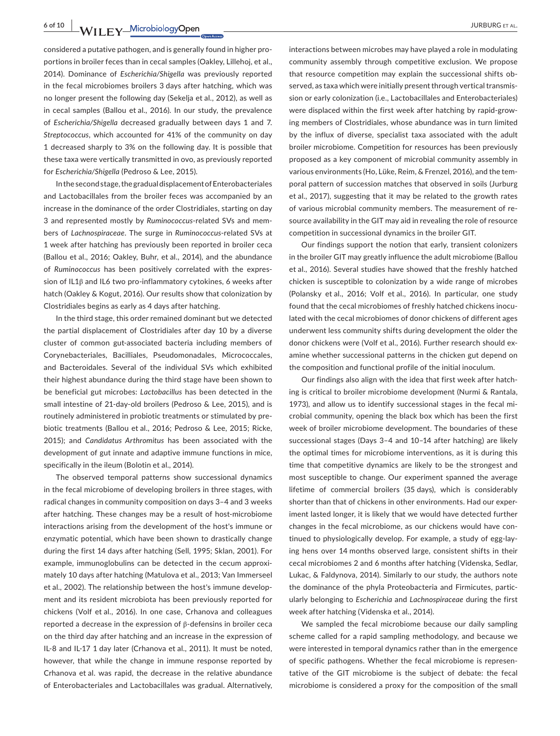**6 of 10 WII FY** MicrobiologyOpen **All and the Contract of the MicrobiologyOpen** *PHONEC ET AL.* 

considered a putative pathogen, and is generally found in higher proportions in broiler feces than in cecal samples (Oakley, Lillehoj, et al., 2014). Dominance of *Escherichia/Shigella* was previously reported in the fecal microbiomes broilers 3 days after hatching, which was no longer present the following day (Sekelja et al., 2012), as well as in cecal samples (Ballou et al., 2016). In our study, the prevalence of *Escherichia/Shigella* decreased gradually between days 1 and 7. *Streptococcus*, which accounted for 41% of the community on day 1 decreased sharply to 3% on the following day. It is possible that these taxa were vertically transmitted in ovo, as previously reported for *Escherichia/Shigella* (Pedroso & Lee, 2015).

In the second stage, the gradual displacement of Enterobacteriales and Lactobacillales from the broiler feces was accompanied by an increase in the dominance of the order Clostridiales, starting on day 3 and represented mostly by *Ruminococcus*‐related SVs and members of *Lachnospiraceae*. The surge in *Ruminococcus*‐related SVs at 1 week after hatching has previously been reported in broiler ceca (Ballou et al., 2016; Oakley, Buhr, et al., 2014), and the abundance of *Ruminococcus* has been positively correlated with the expression of IL1β and IL6 two pro-inflammatory cytokines, 6 weeks after hatch (Oakley & Kogut, 2016). Our results show that colonization by Clostridiales begins as early as 4 days after hatching.

In the third stage, this order remained dominant but we detected the partial displacement of Clostridiales after day 10 by a diverse cluster of common gut-associated bacteria including members of Corynebacteriales, Bacilliales, Pseudomonadales, Micrococcales, and Bacteroidales. Several of the individual SVs which exhibited their highest abundance during the third stage have been shown to be beneficial gut microbes: *Lactobacillus* has been detected in the small intestine of 21-day-old broilers (Pedroso & Lee, 2015), and is routinely administered in probiotic treatments or stimulated by prebiotic treatments (Ballou et al., 2016; Pedroso & Lee, 2015; Ricke, 2015); and *Candidatus Arthromitus* has been associated with the development of gut innate and adaptive immune functions in mice, specifically in the ileum (Bolotin et al., 2014).

The observed temporal patterns show successional dynamics in the fecal microbiome of developing broilers in three stages, with radical changes in community composition on days 3–4 and 3 weeks after hatching. These changes may be a result of host-microbiome interactions arising from the development of the host's immune or enzymatic potential, which have been shown to drastically change during the first 14 days after hatching (Sell, 1995; Sklan, 2001). For example, immunoglobulins can be detected in the cecum approximately 10 days after hatching (Matulova et al., 2013; Van Immerseel et al., 2002). The relationship between the host's immune development and its resident microbiota has been previously reported for chickens (Volf et al., 2016). In one case, Crhanova and colleagues reported a decrease in the expression of β-defensins in broiler ceca on the third day after hatching and an increase in the expression of IL-8 and IL-17 1 day later (Crhanova et al., 2011). It must be noted, however, that while the change in immune response reported by Crhanova et al. was rapid, the decrease in the relative abundance of Enterobacteriales and Lactobacillales was gradual. Alternatively,

interactions between microbes may have played a role in modulating community assembly through competitive exclusion. We propose that resource competition may explain the successional shifts observed, as taxa which were initially present through vertical transmission or early colonization (i.e., Lactobacillales and Enterobacteriales) were displaced within the first week after hatching by rapid-growing members of Clostridiales, whose abundance was in turn limited by the influx of diverse, specialist taxa associated with the adult broiler microbiome. Competition for resources has been previously proposed as a key component of microbial community assembly in various environments (Ho, Lüke, Reim, & Frenzel, 2016), and the temporal pattern of succession matches that observed in soils (Jurburg et al., 2017), suggesting that it may be related to the growth rates of various microbial community members. The measurement of resource availability in the GIT may aid in revealing the role of resource competition in successional dynamics in the broiler GIT.

Our findings support the notion that early, transient colonizers in the broiler GIT may greatly influence the adult microbiome (Ballou et al., 2016). Several studies have showed that the freshly hatched chicken is susceptible to colonization by a wide range of microbes (Polansky et al., 2016; Volf et al., 2016). In particular, one study found that the cecal microbiomes of freshly hatched chickens inoculated with the cecal microbiomes of donor chickens of different ages underwent less community shifts during development the older the donor chickens were (Volf et al., 2016). Further research should examine whether successional patterns in the chicken gut depend on the composition and functional profile of the initial inoculum.

Our findings also align with the idea that first week after hatching is critical to broiler microbiome development (Nurmi & Rantala, 1973), and allow us to identify successional stages in the fecal microbial community, opening the black box which has been the first week of broiler microbiome development. The boundaries of these successional stages (Days 3–4 and 10–14 after hatching) are likely the optimal times for microbiome interventions, as it is during this time that competitive dynamics are likely to be the strongest and most susceptible to change. Our experiment spanned the average lifetime of commercial broilers (35 days), which is considerably shorter than that of chickens in other environments. Had our experiment lasted longer, it is likely that we would have detected further changes in the fecal microbiome, as our chickens would have continued to physiologically develop. For example, a study of egg-laying hens over 14 months observed large, consistent shifts in their cecal microbiomes 2 and 6 months after hatching (Videnska, Sedlar, Lukac, & Faldynova, 2014). Similarly to our study, the authors note the dominance of the phyla Proteobacteria and Firmicutes, particularly belonging to *Escherichia* and *Lachnospiraceae* during the first week after hatching (Videnska et al., 2014).

We sampled the fecal microbiome because our daily sampling scheme called for a rapid sampling methodology, and because we were interested in temporal dynamics rather than in the emergence of specific pathogens. Whether the fecal microbiome is representative of the GIT microbiome is the subject of debate: the fecal microbiome is considered a proxy for the composition of the small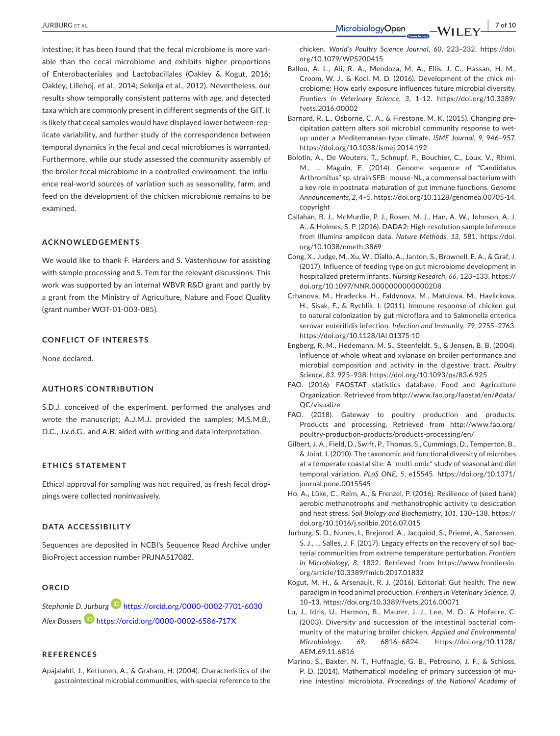intestine; it has been found that the fecal microbiome is more variable than the cecal microbiome and exhibits higher proportions of Enterobacteriales and Lactobacillales (Oakley & Kogut, 2016; Oakley, Lillehoj, et al., 2014; Sekelja et al., 2012). Nevertheless, our results show temporally consistent patterns with age, and detected taxa which are commonly present in different segments of the GIT. It is likely that cecal samples would have displayed lower between-replicate variability, and further study of the correspondence between temporal dynamics in the fecal and cecal microbiomes is warranted. Furthermore, while our study assessed the community assembly of the broiler fecal microbiome in a controlled environment, the influence real-world sources of variation such as seasonality, farm, and feed on the development of the chicken microbiome remains to be examined.

#### **ACKNOWLEDGEMENTS**

We would like to thank F. Harders and S. Vastenhouw for assisting with sample processing and S. Tem for the relevant discussions. This work was supported by an internal WBVR R&D grant and partly by a grant from the Ministry of Agriculture, Nature and Food Quality (grant number WOT‐01‐003‐085).

## **CONFLICT OF INTERESTS**

None declared.

#### **AUTHORS CONTRIBUTION**

S.D.J. conceived of the experiment, performed the analyses and wrote the manuscript; A.J.M.J. provided the samples; M.S.M.B., D.C., J.v.d.G., and A.B. aided with writing and data interpretation.

#### **ETHICS STATEMENT**

Ethical approval for sampling was not required, as fresh fecal droppings were collected noninvasively.

#### **DATA ACCESSIBILITY**

Sequences are deposited in NCBI's Sequence Read Archive under BioProject accession number [PRJNA517082](info:ddbj-embl-genbank/PRJNA517082).

#### **ORCID**

*Stephanie D. Jurburg* <https://orcid.org/0000-0002-7701-6030> *Alex Bossers* <https://orcid.org/0000-0002-6586-717X>

## **REFERENCES**

Apajalahti, J., Kettunen, A., & Graham, H. (2004). Characteristics of the gastrointestinal microbial communities, with special reference to the chicken. *World's Poultry Science Journal*, *60*, 223–232. [https://doi.](https://doi.org/10.1079/WPS200415) [org/10.1079/WPS200415](https://doi.org/10.1079/WPS200415)

- Ballou, A. L., Ali, R. A., Mendoza, M. A., Ellis, J. C., Hassan, H. M., Croom, W. J., & Koci, M. D. (2016). Development of the chick microbiome: How early exposure influences future microbial diversity. *Frontiers in Veterinary Science*, *3*, 1–12. [https://doi.org/10.3389/](https://doi.org/10.3389/fvets.2016.00002) [fvets.2016.00002](https://doi.org/10.3389/fvets.2016.00002)
- Barnard, R. L., Osborne, C. A., & Firestone, M. K. (2015). Changing precipitation pattern alters soil microbial community response to wetup under a Mediterranean-type climate. *ISME Journal*, *9*, 946–957. <https://doi.org/10.1038/ismej.2014.192>
- Bolotin, A., De Wouters, T., Schnupf, P., Bouchier, C., Loux, V., Rhimi, M., … Maguin, E. (2014). Genome sequence of "Candidatus Arthromitus" sp. strain SFB‐ mouse‐NL, a commensal bacterium with a key role in postnatal maturation of gut immune functions. *Genome Announcements*, *2*, 4–5. [https://doi.org/10.1128/genomea.00705-14.](https://doi.org/10.1128/genomea.00705-14.copyright) [copyright](https://doi.org/10.1128/genomea.00705-14.copyright)
- Callahan, B. J., McMurdie, P. J., Rosen, M. J., Han, A. W., Johnson, A. J. A., & Holmes, S. P. (2016). DADA2: High‐resolution sample inference from Illumina amplicon data. *Nature Methods*, *13*, 581. [https://doi.](https://doi.org/10.1038/nmeth.3869) [org/10.1038/nmeth.3869](https://doi.org/10.1038/nmeth.3869)
- Cong, X., Judge, M., Xu, W., Diallo, A., Janton, S., Brownell, E. A., & Graf, J. (2017). Influence of feeding type on gut microbiome development in hospitalized preterm infants. *Nursing Research*, *66*, 123–133. [https://](https://doi.org/10.1097/NNR.0000000000000208) [doi.org/10.1097/NNR.0000000000000208](https://doi.org/10.1097/NNR.0000000000000208)
- Crhanova, M., Hradecka, H., Faldynova, M., Matulova, M., Havlickova, H., Sisak, F., & Rychlik, I. (2011). Immune response of chicken gut to natural colonization by gut microflora and to Salmonella enterica serovar enteritidis infection. *Infection and Immunity*, *79*, 2755–2763. <https://doi.org/10.1128/IAI.01375-10>
- Engberg, R. M., Hedemann, M. S., Steenfeldt, S., & Jensen, B. B. (2004). Influence of whole wheat and xylanase on broiler performance and microbial composition and activity in the digestive tract. *Poultry Science*, *83*, 925–938.<https://doi.org/10.1093/ps/83.6.925>
- FAO. (2016). FAOSTAT statistics database. Food and Agriculture Organization. Retrieved from [http://www.fao.org/faostat/en/#data/](http://www.fao.org/faostat/en/#data/QC/visualize) [QC/visualize](http://www.fao.org/faostat/en/#data/QC/visualize)
- FAO. (2018). Gateway to poultry production and products: Products and processing. Retrieved from [http://www.fao.org/](http://www.fao.org/poultry-production-products/products-processing/en/) [poultry-production-products/products-processing/en/](http://www.fao.org/poultry-production-products/products-processing/en/)
- Gilbert, J. A., Field, D., Swift, P., Thomas, S., Cummings, D., Temperton, B., & Joint, I. (2010). The taxonomic and functional diversity of microbes at a temperate coastal site: A "multi-omic" study of seasonal and diel temporal variation. *PLoS ONE*, *5*, e15545. [https://doi.org/10.1371/](https://doi.org/10.1371/journal.pone.0015545) [journal.pone.0015545](https://doi.org/10.1371/journal.pone.0015545)
- Ho, A., Lüke, C., Reim, A., & Frenzel, P. (2016). Resilience of (seed bank) aerobic methanotrophs and methanotrophic activity to desiccation and heat stress. *Soil Biology and Biochemistry*, *101*, 130–138. [https://](https://doi.org/10.1016/j.soilbio.2016.07.015) [doi.org/10.1016/j.soilbio.2016.07.015](https://doi.org/10.1016/j.soilbio.2016.07.015)
- Jurburg, S. D., Nunes, I., Brejnrod, A., Jacquiod, S., Priemé, A., Sørensen, S. J., … Salles, J. F. (2017). Legacy effects on the recovery of soil bacterial communities from extreme temperature perturbation. *Frontiers in Microbiology*, *8*, 1832. Retrieved from [https://www.frontiersin.](https://www.frontiersin.org/article/10.3389/fmicb.2017.01832) [org/article/10.3389/fmicb.2017.01832](https://www.frontiersin.org/article/10.3389/fmicb.2017.01832)
- Kogut, M. H., & Arsenault, R. J. (2016). Editorial: Gut health: The new paradigm in food animal production. *Frontiers in Veterinary Science*, *3*, 10–13. <https://doi.org/10.3389/fvets.2016.00071>
- Lu, J., Idris, U., Harmon, B., Maurer, J. J., Lee, M. D., & Hofacre, C. (2003). Diversity and succession of the intestinal bacterial community of the maturing broiler chicken. *Applied and Environmental Microbiology*, *69*, 6816–6824. [https://doi.org/10.1128/](https://doi.org/10.1128/AEM.69.11.6816) [AEM.69.11.6816](https://doi.org/10.1128/AEM.69.11.6816)
- Marino, S., Baxter, N. T., Huffnagle, G. B., Petrosino, J. F., & Schloss, P. D. (2014). Mathematical modeling of primary succession of murine intestinal microbiota. *Proceedings of the National Academy of*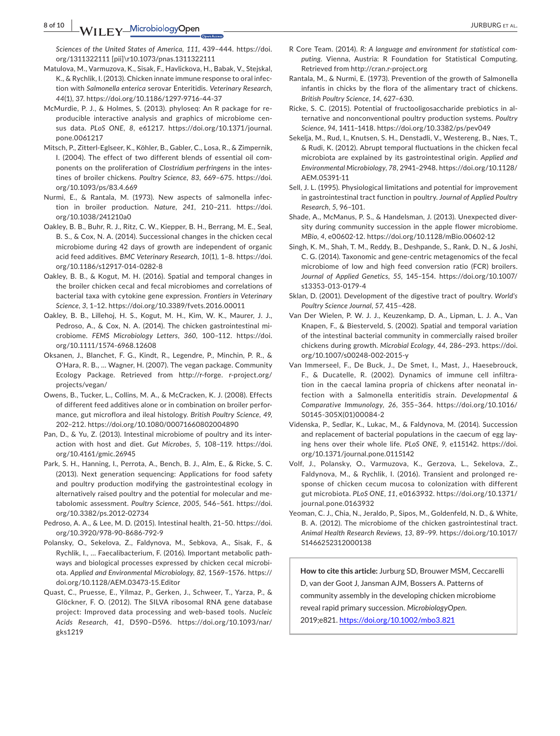**8 of 10 |**  JURBURG et al.

*Sciences of the United States of America*, *111*, 439–444. [https://doi.](https://doi.org/1311322111) [org/1311322111](https://doi.org/1311322111) [pii]\r10.1073/pnas.1311322111

- Matulova, M., Varmuzova, K., Sisak, F., Havlickova, H., Babak, V., Stejskal, K., & Rychlik, I. (2013). Chicken innate immune response to oral infection with *Salmonella enterica* serovar Enteritidis. *Veterinary Research*, *44*(1), 37.<https://doi.org/10.1186/1297-9716-44-37>
- McMurdie, P. J., & Holmes, S. (2013). phyloseq: An R package for reproducible interactive analysis and graphics of microbiome census data. *PLoS ONE*, *8*, e61217. [https://doi.org/10.1371/journal.](https://doi.org/10.1371/journal.pone.0061217) [pone.0061217](https://doi.org/10.1371/journal.pone.0061217)
- Mitsch, P., Zitterl-Eglseer, K., Köhler, B., Gabler, C., Losa, R., & Zimpernik, I. (2004). The effect of two different blends of essential oil components on the proliferation of *Clostridium perfringens* in the intestines of broiler chickens. *Poultry Science*, *83*, 669–675. [https://doi.](https://doi.org/10.1093/ps/83.4.669) [org/10.1093/ps/83.4.669](https://doi.org/10.1093/ps/83.4.669)
- Nurmi, E., & Rantala, M. (1973). New aspects of salmonella infection in broiler production. *Nature*, *241*, 210–211. [https://doi.](https://doi.org/10.1038/241210a0) [org/10.1038/241210a0](https://doi.org/10.1038/241210a0)
- Oakley, B. B., Buhr, R. J., Ritz, C. W., Kiepper, B. H., Berrang, M. E., Seal, B. S., & Cox, N. A. (2014). Successional changes in the chicken cecal microbiome during 42 days of growth are independent of organic acid feed additives. *BMC Veterinary Research*, *10*(1), 1–8. [https://doi.](https://doi.org/10.1186/s12917-014-0282-8) [org/10.1186/s12917-014-0282-8](https://doi.org/10.1186/s12917-014-0282-8)
- Oakley, B. B., & Kogut, M. H. (2016). Spatial and temporal changes in the broiler chicken cecal and fecal microbiomes and correlations of bacterial taxa with cytokine gene expression. *Frontiers in Veterinary Science*, *3*, 1–12. <https://doi.org/10.3389/fvets.2016.00011>
- Oakley, B. B., Lillehoj, H. S., Kogut, M. H., Kim, W. K., Maurer, J. J., Pedroso, A., & Cox, N. A. (2014). The chicken gastrointestinal microbiome. *FEMS Microbiology Letters*, *360*, 100–112. [https://doi.](https://doi.org/10.1111/1574-6968.12608) [org/10.1111/1574-6968.12608](https://doi.org/10.1111/1574-6968.12608)
- Oksanen, J., Blanchet, F. G., Kindt, R., Legendre, P., Minchin, P. R., & O'Hara, R. B., … Wagner, H. (2007). The vegan package. Community Ecology Package. Retrieved from <http://r-forge>. r-project.org/ projects/vegan/
- Owens, B., Tucker, L., Collins, M. A., & McCracken, K. J. (2008). Effects of different feed additives alone or in combination on broiler performance, gut microflora and ileal histology. *British Poultry Science*, *49*, 202–212.<https://doi.org/10.1080/00071660802004890>
- Pan, D., & Yu, Z. (2013). Intestinal microbiome of poultry and its interaction with host and diet. *Gut Microbes*, *5*, 108–119. [https://doi.](https://doi.org/10.4161/gmic.26945) [org/10.4161/gmic.26945](https://doi.org/10.4161/gmic.26945)
- Park, S. H., Hanning, I., Perrota, A., Bench, B. J., Alm, E., & Ricke, S. C. (2013). Next generation sequencing: Applications for food safety and poultry production modifying the gastrointestinal ecology in alternatively raised poultry and the potential for molecular and metabolomic assessment. *Poultry Science*, *2005*, 546–561. [https://doi.](https://doi.org/10.3382/ps.2012-02734) [org/10.3382/ps.2012-02734](https://doi.org/10.3382/ps.2012-02734)
- Pedroso, A. A., & Lee, M. D. (2015). Intestinal health, 21–50. [https://doi.](https://doi.org/10.3920/978-90-8686-792-9) [org/10.3920/978-90-8686-792-9](https://doi.org/10.3920/978-90-8686-792-9)
- Polansky, O., Sekelova, Z., Faldynova, M., Sebkova, A., Sisak, F., & Rychlik, I., … Faecalibacterium, F. (2016). Important metabolic pathways and biological processes expressed by chicken cecal microbiota. *Applied and Environmental Microbiology*, *82*, 1569–1576. [https://](https://doi.org/10.1128/AEM.03473-15.Editor) [doi.org/10.1128/AEM.03473-15.Editor](https://doi.org/10.1128/AEM.03473-15.Editor)
- Quast, C., Pruesse, E., Yilmaz, P., Gerken, J., Schweer, T., Yarza, P., & Glöckner, F. O. (2012). The SILVA ribosomal RNA gene database project: Improved data processing and web-based tools. *Nucleic Acids Research*, *41*, D590–D596. [https://doi.org/10.1093/nar/](https://doi.org/10.1093/nar/gks1219) [gks1219](https://doi.org/10.1093/nar/gks1219)
- R Core Team. (2014). *R: A language and environment for statistical com‐ puting*. Vienna, Austria: R Foundation for Statistical Computing. Retrieved from<http://cran.r-project.org>
- Rantala, M., & Nurmi, E. (1973). Prevention of the growth of Salmonella infantis in chicks by the flora of the alimentary tract of chickens. *British Poultry Science*, *14*, 627–630.
- Ricke, S. C. (2015). Potential of fructooligosaccharide prebiotics in alternative and nonconventional poultry production systems. *Poultry Science*, *94*, 1411–1418.<https://doi.org/10.3382/ps/pev049>
- Sekelja, M., Rud, I., Knutsen, S. H., Denstadli, V., Westereng, B., Næs, T., & Rudi, K. (2012). Abrupt temporal fluctuations in the chicken fecal microbiota are explained by its gastrointestinal origin. *Applied and Environmental Microbiology*, *78*, 2941–2948. [https://doi.org/10.1128/](https://doi.org/10.1128/AEM.05391-11) [AEM.05391-11](https://doi.org/10.1128/AEM.05391-11)
- Sell, J. L. (1995). Physiological limitations and potential for improvement in gastrointestinal tract function in poultry. *Journal of Applied Poultry Research*, *5*, 96–101.
- Shade, A., McManus, P. S., & Handelsman, J. (2013). Unexpected diversity during community succession in the apple flower microbiome. *MBio*, *4*, e00602-12. <https://doi.org/10.1128/mBio.00602-12>
- Singh, K. M., Shah, T. M., Reddy, B., Deshpande, S., Rank, D. N., & Joshi, C. G. (2014). Taxonomic and gene-centric metagenomics of the fecal microbiome of low and high feed conversion ratio (FCR) broilers. *Journal of Applied Genetics*, *55*, 145–154. [https://doi.org/10.1007/](https://doi.org/10.1007/s13353-013-0179-4) [s13353-013-0179-4](https://doi.org/10.1007/s13353-013-0179-4)
- Sklan, D. (2001). Development of the digestive tract of poultry. *World's Poultry Science Journal*, *57*, 415–428.
- Van Der Wielen, P. W. J. J., Keuzenkamp, D. A., Lipman, L. J. A., Van Knapen, F., & Biesterveld, S. (2002). Spatial and temporal variation of the intestinal bacterial community in commercially raised broiler chickens during growth. *Microbial Ecology*, *44*, 286–293. [https://doi.](https://doi.org/10.1007/s00248-002-2015-y) [org/10.1007/s00248-002-2015-y](https://doi.org/10.1007/s00248-002-2015-y)
- Van Immerseel, F., De Buck, J., De Smet, I., Mast, J., Haesebrouck, F., & Ducatelle, R. (2002). Dynamics of immune cell infiltration in the caecal lamina propria of chickens after neonatal infection with a Salmonella enteritidis strain. *Developmental & Comparative Immunology*, *26*, 355–364. [https://doi.org/10.1016/](https://doi.org/10.1016/S0145-305X(01)00084-2) [S0145-305X\(01\)00084-2](https://doi.org/10.1016/S0145-305X(01)00084-2)
- Videnska, P., Sedlar, K., Lukac, M., & Faldynova, M. (2014). Succession and replacement of bacterial populations in the caecum of egg laying hens over their whole life. *PLoS ONE*, *9*, e115142. [https://doi.](https://doi.org/10.1371/journal.pone.0115142) [org/10.1371/journal.pone.0115142](https://doi.org/10.1371/journal.pone.0115142)
- Volf, J., Polansky, O., Varmuzova, K., Gerzova, L., Sekelova, Z., Faldynova, M., & Rychlik, I. (2016). Transient and prolonged response of chicken cecum mucosa to colonization with different gut microbiota. *PLoS ONE*, *11*, e0163932. [https://doi.org/10.1371/](https://doi.org/10.1371/journal.pone.0163932) [journal.pone.0163932](https://doi.org/10.1371/journal.pone.0163932)
- Yeoman, C. J., Chia, N., Jeraldo, P., Sipos, M., Goldenfeld, N. D., & White, B. A. (2012). The microbiome of the chicken gastrointestinal tract. *Animal Health Research Reviews*, *13*, 89–99. [https://doi.org/10.1017/](https://doi.org/10.1017/S1466252312000138) [S1466252312000138](https://doi.org/10.1017/S1466252312000138)

**How to cite this article:** Jurburg SD, Brouwer MSM, Ceccarelli D, van der Goot J, Jansman AJM, Bossers A. Patterns of community assembly in the developing chicken microbiome reveal rapid primary succession. *MicrobiologyOpen*. 2019;e821.<https://doi.org/10.1002/mbo3.821>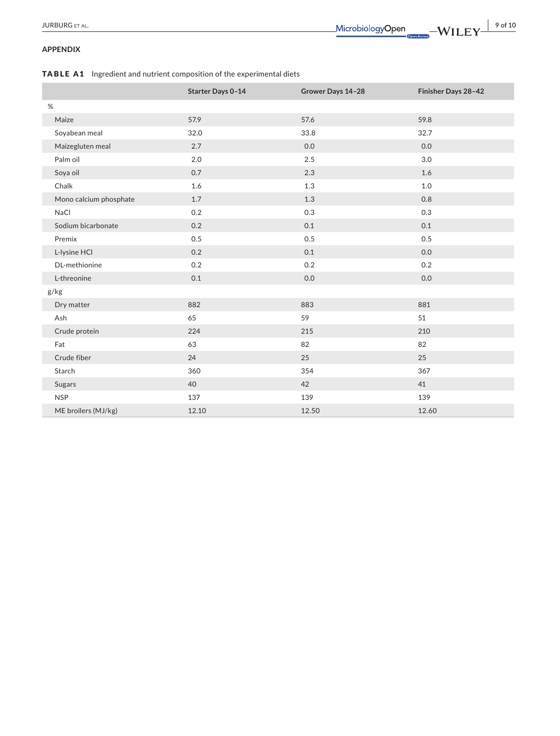## **APPENDIX**

TABLE A1 Ingredient and nutrient composition of the experimental diets

|                        | Starter Days 0-14 | Grower Days 14-28 | Finisher Days 28-42 |
|------------------------|-------------------|-------------------|---------------------|
| $\%$                   |                   |                   |                     |
| Maize                  | 57.9              | 57.6              | 59.8                |
| Soyabean meal          | 32.0              | 33.8              | 32.7                |
| Maizegluten meal       | 2.7               | 0.0               | 0.0                 |
| Palm oil               | 2.0               | 2.5               | 3.0                 |
| Soya oil               | 0.7               | 2.3               | 1.6                 |
| Chalk                  | 1.6               | 1.3               | 1.0                 |
| Mono calcium phosphate | 1.7               | 1.3               | 0.8                 |
| NaCl                   | 0.2               | 0.3               | 0.3                 |
| Sodium bicarbonate     | 0.2               | 0.1               | 0.1                 |
| Premix                 | 0.5               | 0.5               | 0.5                 |
| L-lysine HCl           | 0.2               | 0.1               | 0.0                 |
| DL-methionine          | 0.2               | 0.2               | 0.2                 |
| L-threonine            | 0.1               | 0.0               | 0.0                 |
| g/kg                   |                   |                   |                     |
| Dry matter             | 882               | 883               | 881                 |
| Ash                    | 65                | 59                | 51                  |
| Crude protein          | 224               | 215               | 210                 |
| Fat                    | 63                | 82                | 82                  |
| Crude fiber            | 24                | 25                | 25                  |
| Starch                 | 360               | 354               | 367                 |
| Sugars                 | 40                | 42                | 41                  |
| <b>NSP</b>             | 137               | 139               | 139                 |
| ME broilers (MJ/kg)    | 12.10             | 12.50             | 12.60               |